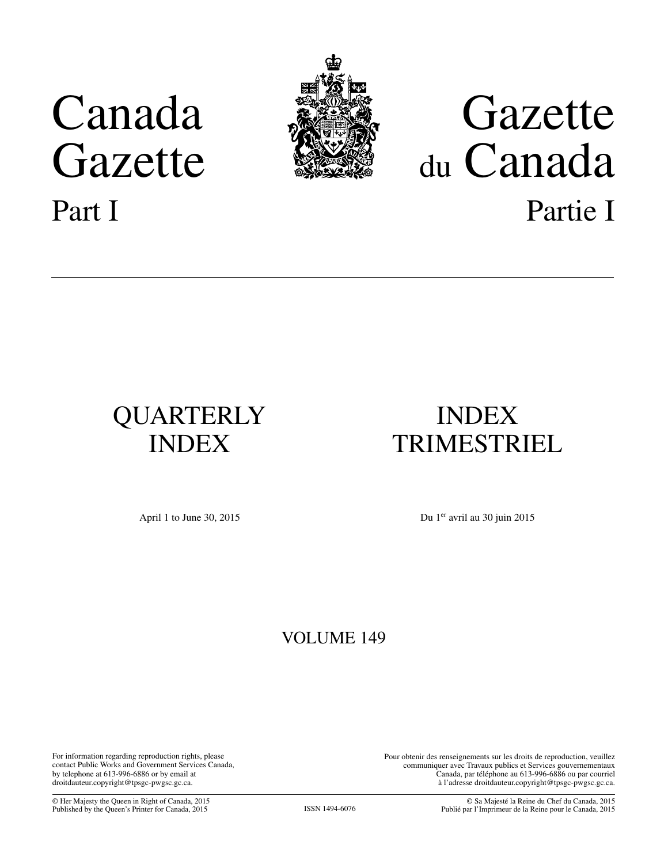# Canada Gazette Part I



# Gazette du Canada Partie I

# QUARTERLY INDEX

## INDEX TRIMESTRIEL

April 1 to June 30, 2015 Du 1<sup>er</sup> avril au 30 juin 2015

### VOLUME 149

For information regarding reproduction rights, please contact Public Works and Government Services Canada, by telephone at 613-996-6886 or by email at droitdauteur.copyright@tpsgc-pwgsc.gc.ca.

Pour obtenir des renseignements sur les droits de reproduction, veuillez communiquer avec Travaux publics et Services gouvernementaux Canada, par téléphone au 613-996-6886 ou par courriel à l'adresse droitdauteur.copyright@tpsgc-pwgsc.gc.ca.

© Her Majesty the Queen in Right of Canada, 2015 Published by the Queen's Printer for Canada, 2015 ISSN 1494-6076

© Sa Majesté la Reine du Chef du Canada, 2015 Publié par l'Imprimeur de la Reine pour le Canada, 2015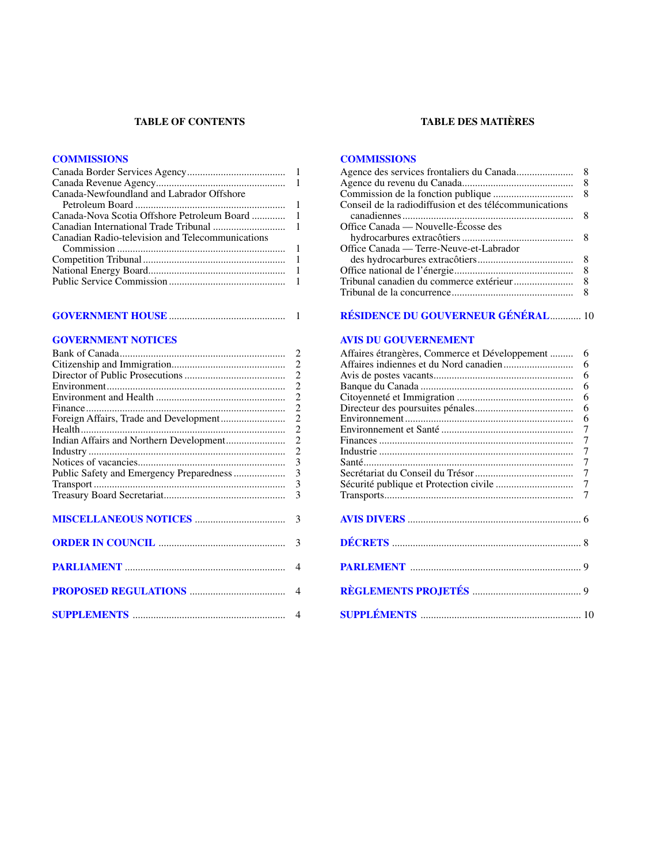#### **TABLE OF CONTENTS**

#### **[COMMISSIONS](#page-2-0)**

| Canada-Newfoundland and Labrador Offshore        |  |
|--------------------------------------------------|--|
|                                                  |  |
|                                                  |  |
|                                                  |  |
| Canadian Radio-television and Telecommunications |  |
|                                                  |  |
|                                                  |  |
|                                                  |  |
|                                                  |  |

#### **GOVERNMENT HOUSE**[.............................................](#page-2-0) 1

#### **[GOVERNMENT NOTICES](#page-3-0)**

|                                          | $\overline{2}$           |
|------------------------------------------|--------------------------|
|                                          | $\overline{2}$           |
|                                          | $\overline{2}$           |
|                                          | $\overline{2}$           |
|                                          | $\overline{c}$           |
|                                          | $\overline{2}$           |
|                                          | $\overline{2}$           |
|                                          | $\overline{2}$           |
|                                          | $\overline{2}$           |
|                                          | 3                        |
| Public Safety and Emergency Preparedness | $\overline{3}$           |
|                                          | 3                        |
|                                          | 3                        |
|                                          |                          |
|                                          |                          |
|                                          |                          |
|                                          | 3                        |
|                                          |                          |
|                                          | $\overline{\mathcal{A}}$ |
|                                          |                          |
|                                          |                          |
|                                          | $\overline{4}$           |
|                                          |                          |
|                                          | $\overline{4}$           |

#### **TABLE DES MATIÈRES**

#### **[COMMISSIONS](#page-9-0)**

|                                                        | 8 |
|--------------------------------------------------------|---|
|                                                        |   |
| Conseil de la radiodiffusion et des télécommunications |   |
|                                                        | 8 |
| Office Canada — Nouvelle-Écosse des                    |   |
|                                                        | 8 |
| Office Canada — Terre-Neuve-et-Labrador                |   |
|                                                        | 8 |
|                                                        | 8 |
|                                                        |   |
|                                                        |   |

#### **[RÉSIDENCE DU GOUVERNEUR GÉNÉRAL](#page-11-0)**............ 10

#### **[AVIS DU GOUVERNEMENT](#page-7-0)**

| Affaires étrangères, Commerce et Développement | 6              |
|------------------------------------------------|----------------|
|                                                | 6              |
|                                                | 6              |
|                                                | 6              |
|                                                | 6              |
|                                                | 6              |
|                                                | 6              |
|                                                | 7              |
|                                                | 7              |
|                                                | $\overline{7}$ |
|                                                |                |
|                                                | $\overline{7}$ |
|                                                |                |
|                                                | 7              |
|                                                |                |
|                                                |                |
|                                                |                |
|                                                |                |
|                                                |                |
|                                                |                |
|                                                |                |
|                                                |                |
|                                                |                |
|                                                |                |
|                                                |                |
|                                                |                |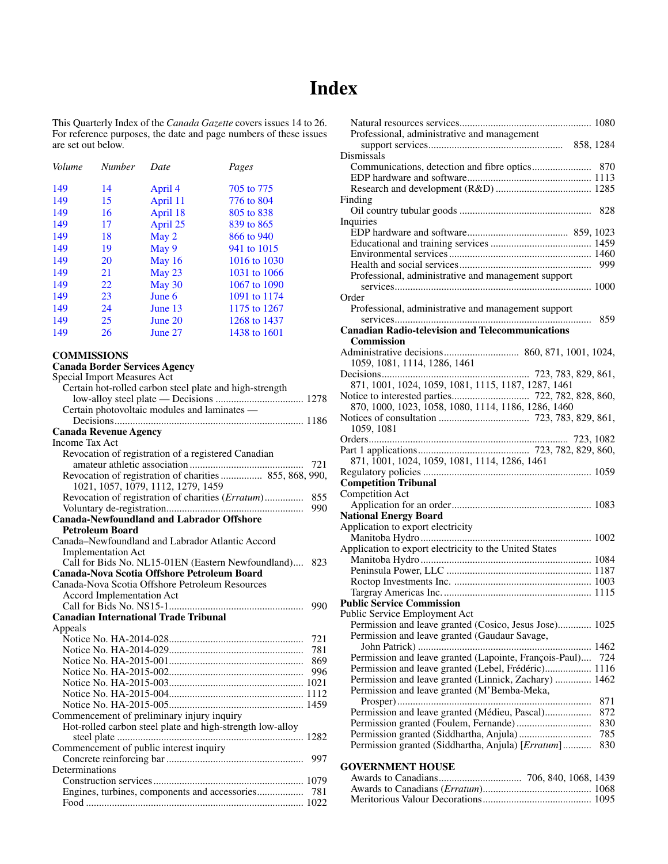### **Index**

<span id="page-2-0"></span>This Quarterly Index of the *Canada Gazette* covers issues 14 to 26. For reference purposes, the date and page numbers of these issues are set out below.

| Volume | <b>Number</b> | Date     | Pages        |
|--------|---------------|----------|--------------|
| 149    | 14            | April 4  | 705 to 775   |
| 149    | 15            | April 11 | 776 to 804   |
| 149    | 16            | April 18 | 805 to 838   |
| 149    | 17            | April 25 | 839 to 865   |
| 149    | 18            | May 2    | 866 to 940   |
| 149    | 19            | May 9    | 941 to 1015  |
| 149    | 20            | May 16   | 1016 to 1030 |
| 149    | 21            | May 23   | 1031 to 1066 |
| 149    | 22            | May 30   | 1067 to 1090 |
| 149    | 23            | June 6   | 1091 to 1174 |
| 149    | 24            | June 13  | 1175 to 1267 |
| 149    | 25            | June 20  | 1268 to 1437 |
| 149    | 26            | June 27  | 1438 to 1601 |

#### **COMMISSIONS**

| <b>Canada Border Services Agency</b>                      |
|-----------------------------------------------------------|
| Special Import Measures Act                               |
| Certain hot-rolled carbon steel plate and high-strength   |
|                                                           |
| Certain photovoltaic modules and laminates -              |
|                                                           |
| <b>Canada Revenue Agency</b>                              |
| <b>Income Tax Act</b>                                     |
| Revocation of registration of a registered Canadian       |
| 721                                                       |
| Revocation of registration of charities 855, 868, 990,    |
| 1021, 1057, 1079, 1112, 1279, 1459                        |
| Revocation of registration of charities (Erratum)<br>855  |
| 990                                                       |
| <b>Canada-Newfoundland and Labrador Offshore</b>          |
| <b>Petroleum Board</b>                                    |
| Canada-Newfoundland and Labrador Atlantic Accord          |
| <b>Implementation Act</b>                                 |
| Call for Bids No. NL15-01EN (Eastern Newfoundland)<br>823 |
| Canada-Nova Scotia Offshore Petroleum Board               |
| Canada-Nova Scotia Offshore Petroleum Resources           |
| Accord Implementation Act                                 |
| 990                                                       |
| <b>Canadian International Trade Tribunal</b>              |
| Appeals                                                   |
| 721                                                       |
| 781                                                       |
| 869                                                       |
| 996                                                       |
|                                                           |
|                                                           |
|                                                           |
| Commencement of preliminary injury inquiry                |
| Hot-rolled carbon steel plate and high-strength low-alloy |
|                                                           |
| Commencement of public interest inquiry                   |
|                                                           |
| Determinations                                            |
|                                                           |
|                                                           |
|                                                           |

| Professional, administrative and management                                                          |     |
|------------------------------------------------------------------------------------------------------|-----|
|                                                                                                      |     |
| Dismissals                                                                                           |     |
|                                                                                                      |     |
|                                                                                                      |     |
| Finding                                                                                              |     |
|                                                                                                      | 828 |
| Inquiries                                                                                            |     |
|                                                                                                      |     |
|                                                                                                      |     |
|                                                                                                      |     |
|                                                                                                      | 999 |
| Professional, administrative and management support                                                  |     |
| Order                                                                                                |     |
| Professional, administrative and management support                                                  |     |
|                                                                                                      | 859 |
| <b>Canadian Radio-television and Telecommunications</b>                                              |     |
| Commission                                                                                           |     |
|                                                                                                      |     |
| 1059, 1081, 1114, 1286, 1461                                                                         |     |
| 871, 1001, 1024, 1059, 1081, 1115, 1187, 1287, 1461                                                  |     |
|                                                                                                      |     |
| 870, 1000, 1023, 1058, 1080, 1114, 1186, 1286, 1460                                                  |     |
|                                                                                                      |     |
| 1059, 1081                                                                                           |     |
|                                                                                                      |     |
|                                                                                                      |     |
| 871, 1001, 1024, 1059, 1081, 1114, 1286, 1461                                                        |     |
|                                                                                                      |     |
| <b>Competition Tribunal</b><br>Competition Act                                                       |     |
|                                                                                                      |     |
| <b>National Energy Board</b>                                                                         |     |
| Application to export electricity                                                                    |     |
|                                                                                                      |     |
| Application to export electricity to the United States                                               |     |
|                                                                                                      |     |
|                                                                                                      |     |
|                                                                                                      |     |
| <b>Public Service Commission</b>                                                                     |     |
| Public Service Employment Act                                                                        |     |
| Permission and leave granted (Cosico, Jesus Jose) 1025                                               |     |
| Permission and leave granted (Gaudaur Savage,                                                        |     |
|                                                                                                      |     |
| Permission and leave granted (Lapointe, François-Paul)                                               | 724 |
| Permission and leave granted (Lebel, Frédéric) 1116                                                  |     |
| Permission and leave granted (Linnick, Zachary)  1462<br>Permission and leave granted (M'Bemba-Meka, |     |
|                                                                                                      | 871 |
| Permission and leave granted (Médieu, Pascal)                                                        | 872 |
|                                                                                                      | 830 |
|                                                                                                      | 785 |
| Permission granted (Siddhartha, Anjula) [Erratum]                                                    | 830 |
|                                                                                                      |     |
| <b>GOVERNMENT HOUSE</b>                                                                              |     |
|                                                                                                      |     |
|                                                                                                      |     |

Meritorious Valour Decorations.......................................... 1095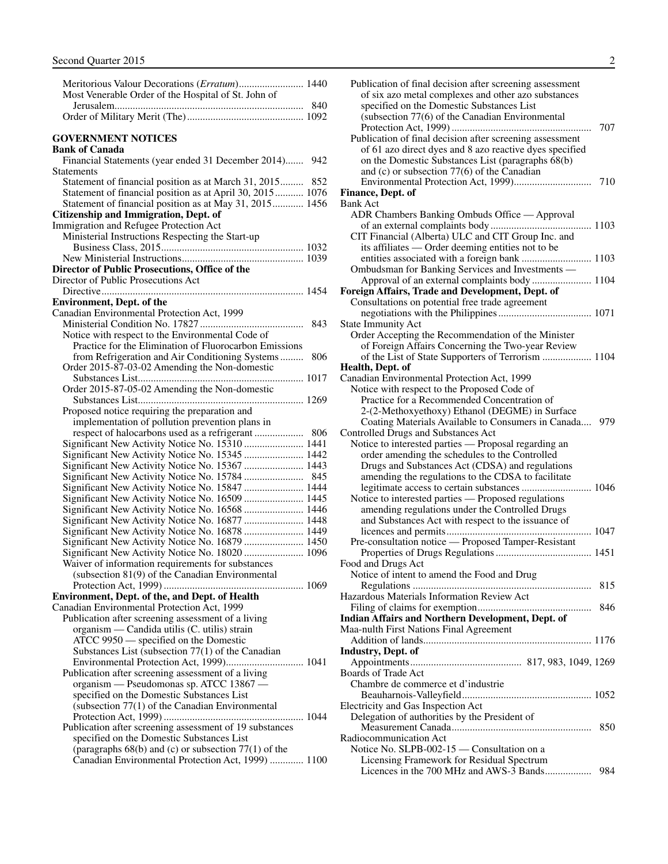<span id="page-3-0"></span>

| Most Venerable Order of the Hospital of St. John of |  |
|-----------------------------------------------------|--|
|                                                     |  |
|                                                     |  |
|                                                     |  |
|                                                     |  |

#### **GOVERNMENT NOTICES**

#### **Bank of Canada**

| Financial Statements (year ended 31 December 2014) 942                                                                |     |
|-----------------------------------------------------------------------------------------------------------------------|-----|
| Statements                                                                                                            |     |
|                                                                                                                       |     |
| Statement of financial position as at March 31, 2015 852<br>Statement of financial position as at April 30, 2015 1076 |     |
|                                                                                                                       |     |
| Statement of financial position as at May 31, 2015 1456                                                               |     |
| <b>Citizenship and Immigration, Dept. of</b>                                                                          |     |
| Immigration and Refugee Protection Act                                                                                |     |
| Ministerial Instructions Respecting the Start-up                                                                      |     |
|                                                                                                                       |     |
|                                                                                                                       |     |
| Director of Public Prosecutions, Office of the                                                                        |     |
| Director of Public Prosecutions Act                                                                                   |     |
|                                                                                                                       |     |
| <b>Environment, Dept. of the</b>                                                                                      |     |
| Canadian Environmental Protection Act, 1999                                                                           |     |
|                                                                                                                       | 843 |
| Notice with respect to the Environmental Code of                                                                      |     |
| Practice for the Elimination of Fluorocarbon Emissions                                                                |     |
| from Refrigeration and Air Conditioning Systems                                                                       | 806 |
| Order 2015-87-03-02 Amending the Non-domestic                                                                         |     |
|                                                                                                                       |     |
| Order 2015-87-05-02 Amending the Non-domestic                                                                         |     |
|                                                                                                                       |     |
| Proposed notice requiring the preparation and                                                                         |     |
| implementation of pollution prevention plans in                                                                       |     |
|                                                                                                                       |     |
| Significant New Activity Notice No. 15310  1441                                                                       |     |
| Significant New Activity Notice No. 15345  1442                                                                       |     |
| Significant New Activity Notice No. 15367  1443                                                                       |     |
|                                                                                                                       |     |
|                                                                                                                       |     |
| Significant New Activity Notice No. 15847  1444                                                                       |     |
| Significant New Activity Notice No. 16509  1445                                                                       |     |
| Significant New Activity Notice No. 16568  1446                                                                       |     |
| Significant New Activity Notice No. 16877  1448                                                                       |     |
| Significant New Activity Notice No. 16878  1449                                                                       |     |
| Significant New Activity Notice No. 16879  1450                                                                       |     |
| Significant New Activity Notice No. 18020  1096                                                                       |     |
| Waiver of information requirements for substances                                                                     |     |
| (subsection 81(9) of the Canadian Environmental                                                                       |     |
|                                                                                                                       |     |
| <b>Environment, Dept. of the, and Dept. of Health</b>                                                                 |     |
| Canadian Environmental Protection Act, 1999                                                                           |     |
| Publication after screening assessment of a living                                                                    |     |
| organism — Candida utilis (C. utilis) strain                                                                          |     |
| ATCC 9950 - specified on the Domestic                                                                                 |     |
| Substances List (subsection $77(1)$ of the Canadian                                                                   |     |
| Environmental Protection Act, 1999) 1041                                                                              |     |
| Publication after screening assessment of a living                                                                    |     |
| organism — Pseudomonas sp. ATCC 13867 —                                                                               |     |
| specified on the Domestic Substances List                                                                             |     |
| (subsection 77(1) of the Canadian Environmental                                                                       |     |
|                                                                                                                       |     |
| Publication after screening assessment of 19 substances                                                               |     |
| specified on the Domestic Substances List                                                                             |     |
| (paragraphs $68(b)$ and (c) or subsection $77(1)$ of the                                                              |     |
| Canadian Environmental Protection Act, 1999)  1100                                                                    |     |
|                                                                                                                       |     |

| Publication of final decision after screening assessment<br>of six azo metal complexes and other azo substances<br>specified on the Domestic Substances List             |     |
|--------------------------------------------------------------------------------------------------------------------------------------------------------------------------|-----|
| (subsection 77(6) of the Canadian Environmental                                                                                                                          | 707 |
| Publication of final decision after screening assessment<br>of 61 azo direct dyes and 8 azo reactive dyes specified<br>on the Domestic Substances List (paragraphs 68(b) |     |
| and (c) or subsection $77(6)$ of the Canadian                                                                                                                            | 710 |
| Finance, Dept. of                                                                                                                                                        |     |
| Bank Act                                                                                                                                                                 |     |
| ADR Chambers Banking Ombuds Office - Approval                                                                                                                            |     |
|                                                                                                                                                                          |     |
| CIT Financial (Alberta) ULC and CIT Group Inc. and                                                                                                                       |     |
| its affiliates — Order deeming entities not to be                                                                                                                        |     |
| entities associated with a foreign bank  1103                                                                                                                            |     |
| Ombudsman for Banking Services and Investments -                                                                                                                         |     |
| Approval of an external complaints body 1104                                                                                                                             |     |
| Foreign Affairs, Trade and Development, Dept. of                                                                                                                         |     |
| Consultations on potential free trade agreement                                                                                                                          |     |
|                                                                                                                                                                          |     |
| <b>State Immunity Act</b>                                                                                                                                                |     |
|                                                                                                                                                                          |     |
| Order Accepting the Recommendation of the Minister                                                                                                                       |     |
| of Foreign Affairs Concerning the Two-year Review                                                                                                                        |     |
| of the List of State Supporters of Terrorism  1104                                                                                                                       |     |
| Health, Dept. of                                                                                                                                                         |     |
| Canadian Environmental Protection Act, 1999                                                                                                                              |     |
| Notice with respect to the Proposed Code of                                                                                                                              |     |
| Practice for a Recommended Concentration of<br>2-(2-Methoxyethoxy) Ethanol (DEGME) in Surface                                                                            |     |
| Coating Materials Available to Consumers in Canada                                                                                                                       | 979 |
| Controlled Drugs and Substances Act                                                                                                                                      |     |
| Notice to interested parties - Proposal regarding an                                                                                                                     |     |
| order amending the schedules to the Controlled                                                                                                                           |     |
| Drugs and Substances Act (CDSA) and regulations                                                                                                                          |     |
| amending the regulations to the CDSA to facilitate                                                                                                                       |     |
| legitimate access to certain substances  1046                                                                                                                            |     |
| Notice to interested parties — Proposed regulations                                                                                                                      |     |
| amending regulations under the Controlled Drugs                                                                                                                          |     |
| and Substances Act with respect to the issuance of                                                                                                                       |     |
|                                                                                                                                                                          |     |
| Pre-consultation notice — Proposed Tamper-Resistant                                                                                                                      |     |
|                                                                                                                                                                          |     |
| Food and Drugs Act                                                                                                                                                       |     |
| Notice of intent to amend the Food and Drug                                                                                                                              |     |
|                                                                                                                                                                          | 815 |
| Hazardous Materials Information Review Act                                                                                                                               |     |
|                                                                                                                                                                          |     |
| <b>Indian Affairs and Northern Development, Dept. of</b>                                                                                                                 |     |
|                                                                                                                                                                          |     |
| Maa-nulth First Nations Final Agreement                                                                                                                                  |     |
|                                                                                                                                                                          |     |
| <b>Industry, Dept. of</b>                                                                                                                                                |     |
|                                                                                                                                                                          |     |
| <b>Boards of Trade Act</b>                                                                                                                                               |     |
| Chambre de commerce et d'industrie                                                                                                                                       |     |
|                                                                                                                                                                          |     |
| Electricity and Gas Inspection Act                                                                                                                                       |     |
| Delegation of authorities by the President of                                                                                                                            |     |
|                                                                                                                                                                          | 850 |
| Radiocommunication Act                                                                                                                                                   |     |
| Notice No. SLPB-002-15 — Consultation on a                                                                                                                               |     |
| Licensing Framework for Residual Spectrum                                                                                                                                |     |
| Licences in the 700 MHz and AWS-3 Bands                                                                                                                                  | 984 |
|                                                                                                                                                                          |     |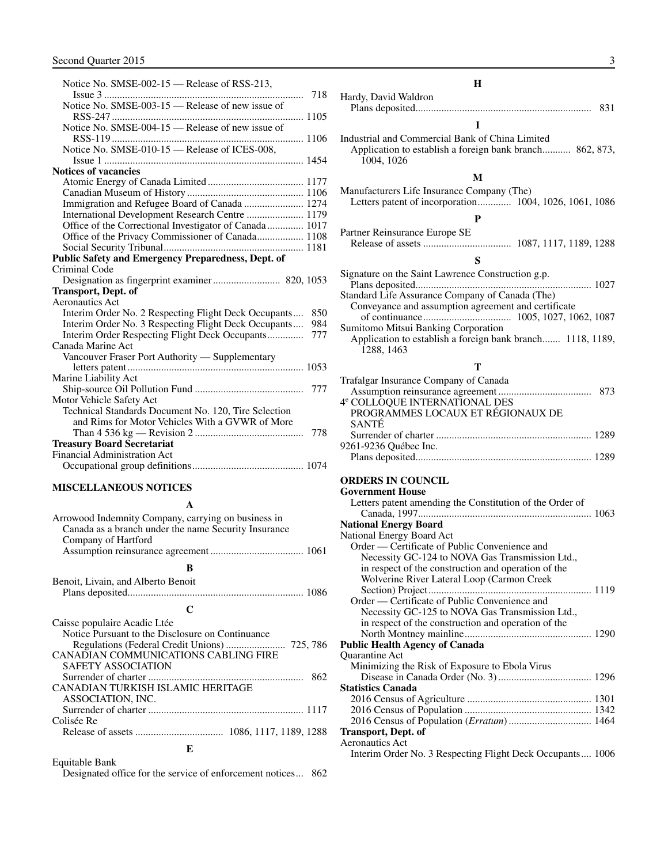<span id="page-4-0"></span>

| Notice No. SMSE-002-15 - Release of RSS-213,            |     |
|---------------------------------------------------------|-----|
| $Issue 3$                                               |     |
| Notice No. SMSE-003-15 - Release of new issue of        |     |
|                                                         |     |
| Notice No. SMSE-004-15 - Release of new issue of        |     |
|                                                         |     |
| Notice No. SMSE-010-15 - Release of ICES-008,           |     |
|                                                         |     |
| <b>Notices of vacancies</b>                             |     |
|                                                         |     |
|                                                         |     |
| Immigration and Refugee Board of Canada  1274           |     |
| International Development Research Centre  1179         |     |
| Office of the Correctional Investigator of Canada  1017 |     |
| Office of the Privacy Commissioner of Canada 1108       |     |
|                                                         |     |
| Public Safety and Emergency Preparedness, Dept. of      |     |
| Criminal Code                                           |     |
| Designation as fingerprint examiner 820, 1053           |     |
| <b>Transport, Dept. of</b>                              |     |
| <b>Aeronautics Act</b>                                  |     |
| Interim Order No. 2 Respecting Flight Deck Occupants    | 850 |
| Interim Order No. 3 Respecting Flight Deck Occupants    | 984 |
| Interim Order Respecting Flight Deck Occupants          | 777 |
| Canada Marine Act                                       |     |
| Vancouver Fraser Port Authority - Supplementary         |     |
|                                                         |     |
| Marine Liability Act                                    |     |
|                                                         |     |
| Motor Vehicle Safety Act                                |     |
| Technical Standards Document No. 120, Tire Selection    |     |
| and Rims for Motor Vehicles With a GVWR of More         |     |
|                                                         | 778 |
| <b>Treasury Board Secretariat</b>                       |     |
| <b>Financial Administration Act</b>                     |     |
|                                                         |     |
|                                                         |     |

#### **MISCELLANEOUS NOTICES**

**A**

| Arrowood Indemnity Company, carrying on business in<br>Canada as a branch under the name Security Insurance<br>Company of Hartford                                                                                                   |
|--------------------------------------------------------------------------------------------------------------------------------------------------------------------------------------------------------------------------------------|
| в                                                                                                                                                                                                                                    |
| Benoit, Livain, and Alberto Benoit                                                                                                                                                                                                   |
| C                                                                                                                                                                                                                                    |
| Caisse populaire Acadie Ltée<br>Notice Pursuant to the Disclosure on Continuance<br><b>CANADIAN COMMUNICATIONS CABLING FIRE</b><br><b>SAFETY ASSOCIATION</b><br>CANADIAN TURKISH ISLAMIC HERITAGE<br>ASSOCIATION, INC.<br>Colisée Re |
| E                                                                                                                                                                                                                                    |

Equitable Bank

Designated office for the service of enforcement notices... 862

#### **H**

| Hardy, David Waldron |     |
|----------------------|-----|
|                      | 831 |
|                      |     |
|                      |     |

Industrial and Commercial Bank of China Limited Application to establish a foreign bank branch........... 862, 873, 1004, 1026

#### **M**

Manufacturers Life Insurance Company (The) Letters patent of incorporation............. 1004, 1026, 1061, 1086

#### **P**

Partner Reinsurance Europe SE Release of assets .................................. 1087, 1117, 1189, 1288

#### **S**

| Signature on the Saint Lawrence Construction g.p.          |  |
|------------------------------------------------------------|--|
|                                                            |  |
| Standard Life Assurance Company of Canada (The)            |  |
| Conveyance and assumption agreement and certificate        |  |
|                                                            |  |
| Sumitomo Mitsui Banking Corporation                        |  |
| Application to establish a foreign bank branch 1118, 1189, |  |
| 1288, 1463                                                 |  |
|                                                            |  |

#### **T**

| Trafalgar Insurance Company of Canada     |  |
|-------------------------------------------|--|
|                                           |  |
| 4 <sup>e</sup> COLLOQUE INTERNATIONAL DES |  |
| PROGRAMMES LOCAUX ET RÉGIONAUX DE         |  |
| <b>SANTE</b>                              |  |
|                                           |  |
| 9261-9236 Québec Inc.                     |  |
|                                           |  |

#### **ORDERS IN COUNCIL**

| <b>Government House</b>                                   |  |
|-----------------------------------------------------------|--|
| Letters patent amending the Constitution of the Order of  |  |
|                                                           |  |
| <b>National Energy Board</b>                              |  |
| National Energy Board Act                                 |  |
| Order — Certificate of Public Convenience and             |  |
| Necessity GC-124 to NOVA Gas Transmission Ltd.,           |  |
| in respect of the construction and operation of the       |  |
| Wolverine River Lateral Loop (Carmon Creek                |  |
| Section) Project                                          |  |
| Order — Certificate of Public Convenience and             |  |
| Necessity GC-125 to NOVA Gas Transmission Ltd.,           |  |
| in respect of the construction and operation of the       |  |
|                                                           |  |
| Public Health Agency of Canada                            |  |
| <b>Ouarantine Act</b>                                     |  |
| Minimizing the Risk of Exposure to Ebola Virus            |  |
|                                                           |  |
| <b>Statistics Canada</b>                                  |  |
|                                                           |  |
|                                                           |  |
|                                                           |  |
| <b>Transport, Dept. of</b>                                |  |
| <b>Aeronautics Act</b>                                    |  |
| Interim Order No. 3 Respecting Flight Deck Occupants 1006 |  |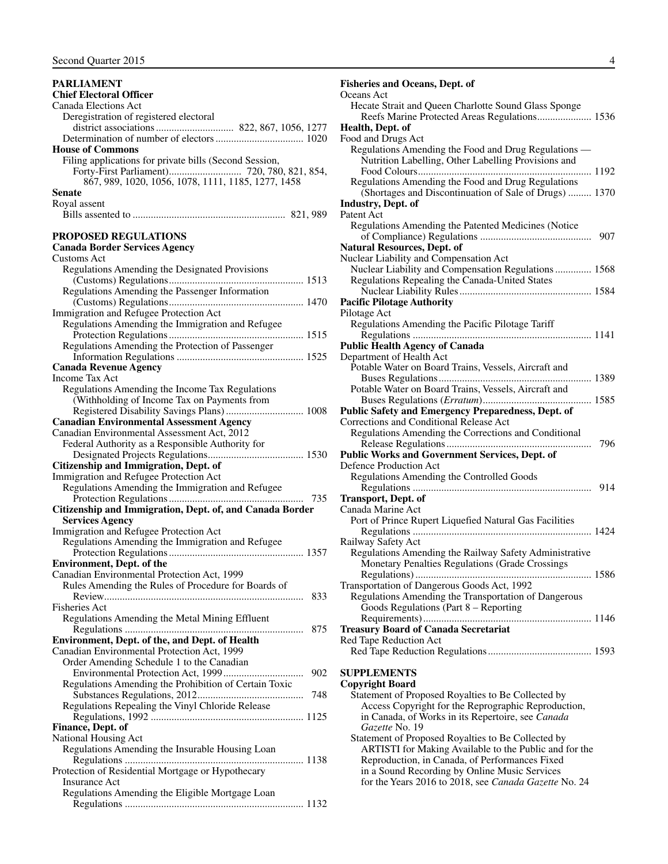#### <span id="page-5-0"></span>**PARLIAMENT Chief Electoral Officer** Canada Elections Act Deregistration of registered electoral district associations.............................. 822, 867, 1056, 1277 Determination of number of electors.................................. 1020 **House of Commons** Filing applications for private bills (Second Session, Forty-First Parliament)............................ 720, 780, 821, 854, 867, 989, 1020, 1056, 1078, 1111, 1185, 1277, 1458 **Senate** Royal assent Bills assented to ........................................................... 821, 989 **PROPOSED REGULATIONS Canada Border Services Agency** Customs Act Regulations Amending the Designated Provisions (Customs) Regulations.................................................... 1513 Regulations Amending the Passenger Information (Customs) Regulations.................................................... 1470 Immigration and Refugee Protection Act Regulations Amending the Immigration and Refugee Protection Regulations.................................................... 1515 Regulations Amending the Protection of Passenger Information Regulations ................................................. 1525 **Canada Revenue Agency** Income Tax Act Regulations Amending the Income Tax Regulations (Withholding of Income Tax on Payments from Registered Disability Savings Plans).............................. 1008 **Canadian Environmental Assessment Agency** Canadian Environmental Assessment Act, 2012 Federal Authority as a Responsible Authority for Designated Projects Regulations..................................... 1530 **Citizenship and Immigration, Dept. of**  Immigration and Refugee Protection Act Regulations Amending the Immigration and Refugee Protection Regulations.................................................... 735 **Citizenship and Immigration, Dept. of, and Canada Border Services Agency** Immigration and Refugee Protection Act Regulations Amending the Immigration and Refugee Protection Regulations.................................................... 1357 **Environment, Dept. of the**  Canadian Environmental Protection Act, 1999 Rules Amending the Rules of Procedure for Boards of Review............................................................................. 833 Fisheries Act Regulations Amending the Metal Mining Effluent Regulations ..................................................................... 875 **Environment, Dept. of the, and Dept. of Health** Canadian Environmental Protection Act, 1999 Order Amending Schedule 1 to the Canadian Environmental Protection Act, 1999............................... 902 Regulations Amending the Prohibition of Certain Toxic Substances Regulations, 2012......................................... 748 Regulations Repealing the Vinyl Chloride Release Regulations, 1992 ........................................................... 1125 **Finance, Dept. of** National Housing Act Regulations Amending the Insurable Housing Loan Regulations ..................................................................... 1138 Protection of Residential Mortgage or Hypothecary Insurance Act Regulations Amending the Eligible Mortgage Loan Regulations ..................................................................... 1132

#### **Fisheries and Oceans, Dept. of**  Oceans Act Hecate Strait and Queen Charlotte Sound Glass Sponge Reefs Marine Protected Areas Regulations..................... 1536 **Health, Dept. of**  Food and Drugs Act Regulations Amending the Food and Drug Regulations — Nutrition Labelling, Other Labelling Provisions and Food Colours................................................................... 1192 Regulations Amending the Food and Drug Regulations (Shortages and Discontinuation of Sale of Drugs) ......... 1370 **Industry, Dept. of**  Patent Act Regulations Amending the Patented Medicines (Notice of Compliance) Regulations ........................................... 907 **Natural Resources, Dept. of**  Nuclear Liability and Compensation Act Nuclear Liability and Compensation Regulations.............. 1568 Regulations Repealing the Canada-United States Nuclear Liability Rules................................................... 1584 **Pacific Pilotage Authority** Pilotage Act Regulations Amending the Pacific Pilotage Tariff Regulations ..................................................................... 1141 **Public Health Agency of Canada** Department of Health Act Potable Water on Board Trains, Vessels, Aircraft and Buses Regulations........................................................... 1389 Potable Water on Board Trains, Vessels, Aircraft and Buses Regulations (*Erratum*).......................................... 1585 **Public Safety and Emergency Preparedness, Dept. of** Corrections and Conditional Release Act Regulations Amending the Corrections and Conditional Release Regulations........................................................ 796 **Public Works and Government Services, Dept. of**  Defence Production Act Regulations Amending the Controlled Goods Regulations ..................................................................... 914 **Transport, Dept. of** Canada Marine Act Port of Prince Rupert Liquefied Natural Gas Facilities Regulations ..................................................................... 1424 Railway Safety Act Regulations Amending the Railway Safety Administrative Monetary Penalties Regulations (Grade Crossings Regulations).................................................................... 1586 Transportation of Dangerous Goods Act, 1992 Regulations Amending the Transportation of Dangerous Goods Regulations (Part 8 – Reporting Requirements)................................................................. 1146 **Treasury Board of Canada Secretariat** Red Tape Reduction Act Red Tape Reduction Regulations........................................ 1593 **SUPPLEMENTS**

#### **Copyright Board**

- Statement of Proposed Royalties to Be Collected by Access Copyright for the Reprographic Reproduction, in Canada, of Works in its Repertoire, see *Canada Gazette* No. 19
- Statement of Proposed Royalties to Be Collected by ARTISTI for Making Available to the Public and for the Reproduction, in Canada, of Performances Fixed in a Sound Recording by Online Music Services for the Years 2016 to 2018, see *Canada Gazette* No. 24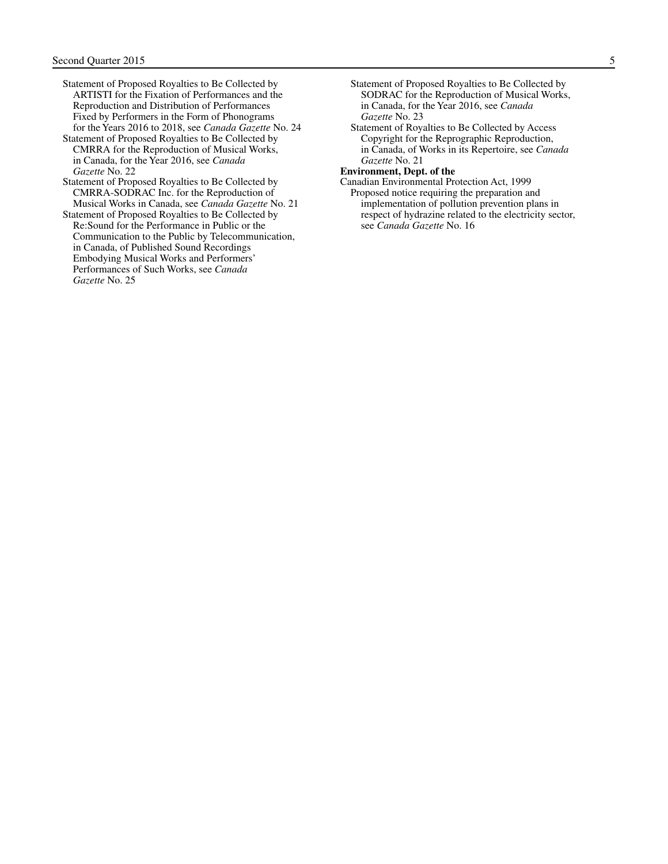- Statement of Proposed Royalties to Be Collected by ARTISTI for the Fixation of Performances and the Reproduction and Distribution of Performances Fixed by Performers in the Form of Phonograms for the Years 2016 to 2018, see *Canada Gazette* No. 24
- Statement of Proposed Royalties to Be Collected by CMRRA for the Reproduction of Musical Works, in Canada, for the Year 2016, see *Canada Gazette* No. 22
- Statement of Proposed Royalties to Be Collected by CMRRA-SODRAC Inc. for the Reproduction of Musical Works in Canada, see *Canada Gazette* No. 21

Statement of Proposed Royalties to Be Collected by Re:Sound for the Performance in Public or the Communication to the Public by Telecommunication, in Canada, of Published Sound Recordings Embodying Musical Works and Performers' Performances of Such Works, see *Canada Gazette* No. 25

- Statement of Proposed Royalties to Be Collected by SODRAC for the Reproduction of Musical Works, in Canada, for the Year 2016, see *Canada Gazette* No. 23
- Statement of Royalties to Be Collected by Access Copyright for the Reprographic Reproduction, in Canada, of Works in its Repertoire, see *Canada Gazette* No. 21

**Environment, Dept. of the** 

Canadian Environmental Protection Act, 1999 Proposed notice requiring the preparation and implementation of pollution prevention plans in respect of hydrazine related to the electricity sector, see *Canada Gazette* No. 16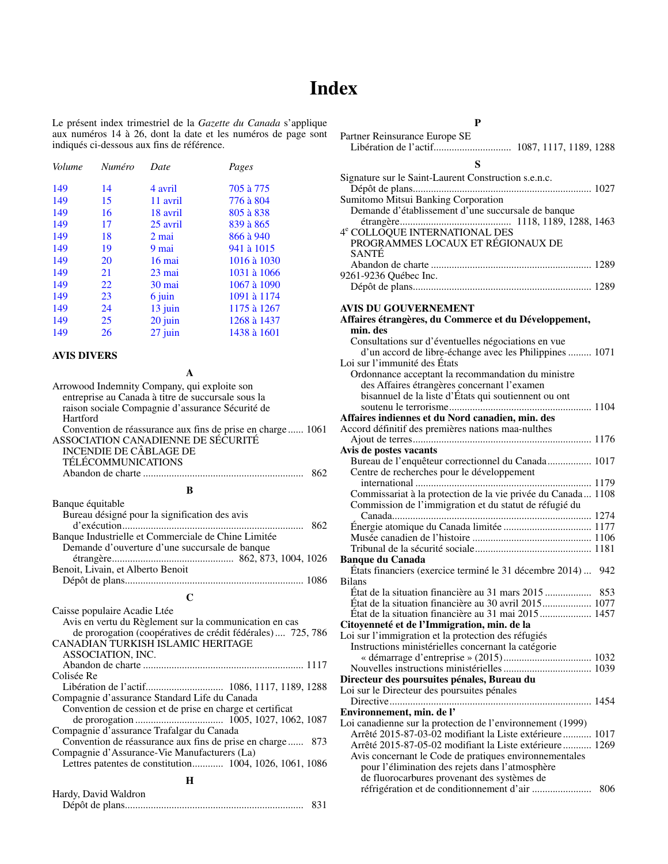## **Index**

<span id="page-7-0"></span>Le présent index trimestriel de la *Gazette du Canada* s'applique aux numéros 14 à 26, dont la date et les numéros de page sont indiqués ci-dessous aux fins de référence.

| Volume | Numéro | Date      | Pages       |
|--------|--------|-----------|-------------|
| 149    | 14     | 4 avril   | 705 à 775   |
| 149    | 15     | 11 avril  | 776 à 804   |
| 149    | 16     | 18 avril  | 805 à 838   |
| 149    | 17     | 25 avril  | 839 à 865   |
| 149    | 18     | 2 mai     | 866 à 940   |
| 149    | 19     | 9 mai     | 941 à 1015  |
| 149    | 20     | $16$ mai  | 1016 à 1030 |
| 149    | 21     | 23 mai    | 1031 à 1066 |
| 149    | 22     | 30 mai    | 1067 à 1090 |
| 149    | 23     | 6 juin    | 1091 à 1174 |
| 149    | 24     | $13$ juin | 1175 à 1267 |
| 149    | 25     | 20 juin   | 1268 à 1437 |
| 149    | 26     | $27$ juin | 1438 à 1601 |
|        |        |           |             |

#### **AVIS DIVERS**

| Arrowood Indemnity Company, qui exploite son                                                     |  |
|--------------------------------------------------------------------------------------------------|--|
| entreprise au Canada à titre de succursale sous la                                               |  |
| raison sociale Compagnie d'assurance Sécurité de                                                 |  |
| Hartford                                                                                         |  |
| Convention de réassurance aux fins de prise en charge 1061<br>ASSOCIATION CANADIENNE DE SÉCURITÉ |  |
|                                                                                                  |  |
| <b>INCENDIE DE CÂBLAGE DE</b>                                                                    |  |
| <b>TÉLÉCOMMUNICATIONS</b>                                                                        |  |
|                                                                                                  |  |
|                                                                                                  |  |

#### **B**

| Banque équitable                                    |     |
|-----------------------------------------------------|-----|
| Bureau désigné pour la signification des avis       |     |
|                                                     | 862 |
| Banque Industrielle et Commerciale de Chine Limitée |     |
| Demande d'ouverture d'une succursale de banque      |     |
|                                                     |     |
| Benoit, Livain, et Alberto Benoit                   |     |
|                                                     |     |
|                                                     |     |

#### **C**

| Caisse populaire Acadie Ltée                                 |
|--------------------------------------------------------------|
| Avis en vertu du Règlement sur la communication en cas       |
| de prorogation (coopératives de crédit fédérales) 725, 786   |
| <b>CANADIAN TURKISH ISLAMIC HERITAGE</b>                     |
| ASSOCIATION, INC.                                            |
|                                                              |
| Colisée Re                                                   |
|                                                              |
| Compagnie d'assurance Standard Life du Canada                |
| Convention de cession et de prise en charge et certificat    |
|                                                              |
| Compagnie d'assurance Trafalgar du Canada                    |
| Convention de réassurance aux fins de prise en charge<br>873 |
| Compagnie d'Assurance-Vie Manufacturers (La)                 |
|                                                              |
|                                                              |

#### **H**

| Hardy, David Waldron |     |
|----------------------|-----|
|                      | 831 |

| Partner Reinsurance Europe SE                        |  |
|------------------------------------------------------|--|
|                                                      |  |
|                                                      |  |
| Signature sur le Saint-Laurent Construction s.e.n.c. |  |
|                                                      |  |

| Sumitomo Mitsui Banking Corporation                |  |
|----------------------------------------------------|--|
| Demande d'établissement d'une succursale de banque |  |
|                                                    |  |
| 4 <sup>e</sup> COLLOQUE INTERNATIONAL DES          |  |
| PROGRAMMES LOCAUX ET RÉGIONAUX DE                  |  |
| <b>SANTÉ</b>                                       |  |
|                                                    |  |
| 9261-9236 Québec Inc.                              |  |
|                                                    |  |
|                                                    |  |

#### **AVIS DU GOUVERNEMENT**

| min. des<br>Consultations sur d'éventuelles négociations en vue<br>d'un accord de libre-échange avec les Philippines  1071<br>Loi sur l'immunité des États<br>Ordonnance acceptant la recommandation du ministre<br>des Affaires étrangères concernant l'examen<br>bisannuel de la liste d'États qui soutiennent ou ont<br>Affaires indiennes et du Nord canadien, min. des<br>Accord définitif des premières nations maa-nulthes<br>Avis de postes vacants<br>Bureau de l'enquêteur correctionnel du Canada 1017<br>Centre de recherches pour le développement<br>Commissariat à la protection de la vie privée du Canada 1108<br>Commission de l'immigration et du statut de réfugié du<br><b>Banque du Canada</b><br>États financiers (exercice terminé le 31 décembre 2014)<br>942<br><b>Bilans</b><br>État de la situation financière au 30 avril 2015 1077<br>État de la situation financière au 31 mai 2015 1457<br>Citoyenneté et de l'Immigration, min. de la<br>Loi sur l'immigration et la protection des réfugiés<br>Instructions ministérielles concernant la catégorie<br>Directeur des poursuites pénales, Bureau du<br>Loi sur le Directeur des poursuites pénales<br>Environnement, min. de l'<br>Loi canadienne sur la protection de l'environnement (1999)<br>Arrêté 2015-87-03-02 modifiant la Liste extérieure 1017<br>Arrêté 2015-87-05-02 modifiant la Liste extérieure  1269<br>Avis concernant le Code de pratiques environnementales | AV IS DU GOU VEINNEMENT                               |  |
|----------------------------------------------------------------------------------------------------------------------------------------------------------------------------------------------------------------------------------------------------------------------------------------------------------------------------------------------------------------------------------------------------------------------------------------------------------------------------------------------------------------------------------------------------------------------------------------------------------------------------------------------------------------------------------------------------------------------------------------------------------------------------------------------------------------------------------------------------------------------------------------------------------------------------------------------------------------------------------------------------------------------------------------------------------------------------------------------------------------------------------------------------------------------------------------------------------------------------------------------------------------------------------------------------------------------------------------------------------------------------------------------------------------------------------------------------------------|-------------------------------------------------------|--|
|                                                                                                                                                                                                                                                                                                                                                                                                                                                                                                                                                                                                                                                                                                                                                                                                                                                                                                                                                                                                                                                                                                                                                                                                                                                                                                                                                                                                                                                                | Affaires étrangères, du Commerce et du Développement, |  |
|                                                                                                                                                                                                                                                                                                                                                                                                                                                                                                                                                                                                                                                                                                                                                                                                                                                                                                                                                                                                                                                                                                                                                                                                                                                                                                                                                                                                                                                                |                                                       |  |
|                                                                                                                                                                                                                                                                                                                                                                                                                                                                                                                                                                                                                                                                                                                                                                                                                                                                                                                                                                                                                                                                                                                                                                                                                                                                                                                                                                                                                                                                |                                                       |  |
|                                                                                                                                                                                                                                                                                                                                                                                                                                                                                                                                                                                                                                                                                                                                                                                                                                                                                                                                                                                                                                                                                                                                                                                                                                                                                                                                                                                                                                                                |                                                       |  |
|                                                                                                                                                                                                                                                                                                                                                                                                                                                                                                                                                                                                                                                                                                                                                                                                                                                                                                                                                                                                                                                                                                                                                                                                                                                                                                                                                                                                                                                                |                                                       |  |
|                                                                                                                                                                                                                                                                                                                                                                                                                                                                                                                                                                                                                                                                                                                                                                                                                                                                                                                                                                                                                                                                                                                                                                                                                                                                                                                                                                                                                                                                |                                                       |  |
|                                                                                                                                                                                                                                                                                                                                                                                                                                                                                                                                                                                                                                                                                                                                                                                                                                                                                                                                                                                                                                                                                                                                                                                                                                                                                                                                                                                                                                                                |                                                       |  |
|                                                                                                                                                                                                                                                                                                                                                                                                                                                                                                                                                                                                                                                                                                                                                                                                                                                                                                                                                                                                                                                                                                                                                                                                                                                                                                                                                                                                                                                                |                                                       |  |
|                                                                                                                                                                                                                                                                                                                                                                                                                                                                                                                                                                                                                                                                                                                                                                                                                                                                                                                                                                                                                                                                                                                                                                                                                                                                                                                                                                                                                                                                |                                                       |  |
|                                                                                                                                                                                                                                                                                                                                                                                                                                                                                                                                                                                                                                                                                                                                                                                                                                                                                                                                                                                                                                                                                                                                                                                                                                                                                                                                                                                                                                                                |                                                       |  |
|                                                                                                                                                                                                                                                                                                                                                                                                                                                                                                                                                                                                                                                                                                                                                                                                                                                                                                                                                                                                                                                                                                                                                                                                                                                                                                                                                                                                                                                                |                                                       |  |
|                                                                                                                                                                                                                                                                                                                                                                                                                                                                                                                                                                                                                                                                                                                                                                                                                                                                                                                                                                                                                                                                                                                                                                                                                                                                                                                                                                                                                                                                |                                                       |  |
|                                                                                                                                                                                                                                                                                                                                                                                                                                                                                                                                                                                                                                                                                                                                                                                                                                                                                                                                                                                                                                                                                                                                                                                                                                                                                                                                                                                                                                                                |                                                       |  |
|                                                                                                                                                                                                                                                                                                                                                                                                                                                                                                                                                                                                                                                                                                                                                                                                                                                                                                                                                                                                                                                                                                                                                                                                                                                                                                                                                                                                                                                                |                                                       |  |
|                                                                                                                                                                                                                                                                                                                                                                                                                                                                                                                                                                                                                                                                                                                                                                                                                                                                                                                                                                                                                                                                                                                                                                                                                                                                                                                                                                                                                                                                |                                                       |  |
|                                                                                                                                                                                                                                                                                                                                                                                                                                                                                                                                                                                                                                                                                                                                                                                                                                                                                                                                                                                                                                                                                                                                                                                                                                                                                                                                                                                                                                                                |                                                       |  |
|                                                                                                                                                                                                                                                                                                                                                                                                                                                                                                                                                                                                                                                                                                                                                                                                                                                                                                                                                                                                                                                                                                                                                                                                                                                                                                                                                                                                                                                                |                                                       |  |
|                                                                                                                                                                                                                                                                                                                                                                                                                                                                                                                                                                                                                                                                                                                                                                                                                                                                                                                                                                                                                                                                                                                                                                                                                                                                                                                                                                                                                                                                |                                                       |  |
|                                                                                                                                                                                                                                                                                                                                                                                                                                                                                                                                                                                                                                                                                                                                                                                                                                                                                                                                                                                                                                                                                                                                                                                                                                                                                                                                                                                                                                                                |                                                       |  |
|                                                                                                                                                                                                                                                                                                                                                                                                                                                                                                                                                                                                                                                                                                                                                                                                                                                                                                                                                                                                                                                                                                                                                                                                                                                                                                                                                                                                                                                                |                                                       |  |
|                                                                                                                                                                                                                                                                                                                                                                                                                                                                                                                                                                                                                                                                                                                                                                                                                                                                                                                                                                                                                                                                                                                                                                                                                                                                                                                                                                                                                                                                |                                                       |  |
|                                                                                                                                                                                                                                                                                                                                                                                                                                                                                                                                                                                                                                                                                                                                                                                                                                                                                                                                                                                                                                                                                                                                                                                                                                                                                                                                                                                                                                                                |                                                       |  |
|                                                                                                                                                                                                                                                                                                                                                                                                                                                                                                                                                                                                                                                                                                                                                                                                                                                                                                                                                                                                                                                                                                                                                                                                                                                                                                                                                                                                                                                                |                                                       |  |
|                                                                                                                                                                                                                                                                                                                                                                                                                                                                                                                                                                                                                                                                                                                                                                                                                                                                                                                                                                                                                                                                                                                                                                                                                                                                                                                                                                                                                                                                |                                                       |  |
|                                                                                                                                                                                                                                                                                                                                                                                                                                                                                                                                                                                                                                                                                                                                                                                                                                                                                                                                                                                                                                                                                                                                                                                                                                                                                                                                                                                                                                                                |                                                       |  |
|                                                                                                                                                                                                                                                                                                                                                                                                                                                                                                                                                                                                                                                                                                                                                                                                                                                                                                                                                                                                                                                                                                                                                                                                                                                                                                                                                                                                                                                                |                                                       |  |
|                                                                                                                                                                                                                                                                                                                                                                                                                                                                                                                                                                                                                                                                                                                                                                                                                                                                                                                                                                                                                                                                                                                                                                                                                                                                                                                                                                                                                                                                |                                                       |  |
|                                                                                                                                                                                                                                                                                                                                                                                                                                                                                                                                                                                                                                                                                                                                                                                                                                                                                                                                                                                                                                                                                                                                                                                                                                                                                                                                                                                                                                                                |                                                       |  |
|                                                                                                                                                                                                                                                                                                                                                                                                                                                                                                                                                                                                                                                                                                                                                                                                                                                                                                                                                                                                                                                                                                                                                                                                                                                                                                                                                                                                                                                                |                                                       |  |
|                                                                                                                                                                                                                                                                                                                                                                                                                                                                                                                                                                                                                                                                                                                                                                                                                                                                                                                                                                                                                                                                                                                                                                                                                                                                                                                                                                                                                                                                |                                                       |  |
|                                                                                                                                                                                                                                                                                                                                                                                                                                                                                                                                                                                                                                                                                                                                                                                                                                                                                                                                                                                                                                                                                                                                                                                                                                                                                                                                                                                                                                                                |                                                       |  |
|                                                                                                                                                                                                                                                                                                                                                                                                                                                                                                                                                                                                                                                                                                                                                                                                                                                                                                                                                                                                                                                                                                                                                                                                                                                                                                                                                                                                                                                                |                                                       |  |
|                                                                                                                                                                                                                                                                                                                                                                                                                                                                                                                                                                                                                                                                                                                                                                                                                                                                                                                                                                                                                                                                                                                                                                                                                                                                                                                                                                                                                                                                |                                                       |  |
|                                                                                                                                                                                                                                                                                                                                                                                                                                                                                                                                                                                                                                                                                                                                                                                                                                                                                                                                                                                                                                                                                                                                                                                                                                                                                                                                                                                                                                                                |                                                       |  |
|                                                                                                                                                                                                                                                                                                                                                                                                                                                                                                                                                                                                                                                                                                                                                                                                                                                                                                                                                                                                                                                                                                                                                                                                                                                                                                                                                                                                                                                                |                                                       |  |
|                                                                                                                                                                                                                                                                                                                                                                                                                                                                                                                                                                                                                                                                                                                                                                                                                                                                                                                                                                                                                                                                                                                                                                                                                                                                                                                                                                                                                                                                |                                                       |  |
|                                                                                                                                                                                                                                                                                                                                                                                                                                                                                                                                                                                                                                                                                                                                                                                                                                                                                                                                                                                                                                                                                                                                                                                                                                                                                                                                                                                                                                                                |                                                       |  |
|                                                                                                                                                                                                                                                                                                                                                                                                                                                                                                                                                                                                                                                                                                                                                                                                                                                                                                                                                                                                                                                                                                                                                                                                                                                                                                                                                                                                                                                                |                                                       |  |
|                                                                                                                                                                                                                                                                                                                                                                                                                                                                                                                                                                                                                                                                                                                                                                                                                                                                                                                                                                                                                                                                                                                                                                                                                                                                                                                                                                                                                                                                |                                                       |  |
|                                                                                                                                                                                                                                                                                                                                                                                                                                                                                                                                                                                                                                                                                                                                                                                                                                                                                                                                                                                                                                                                                                                                                                                                                                                                                                                                                                                                                                                                |                                                       |  |
|                                                                                                                                                                                                                                                                                                                                                                                                                                                                                                                                                                                                                                                                                                                                                                                                                                                                                                                                                                                                                                                                                                                                                                                                                                                                                                                                                                                                                                                                |                                                       |  |
| pour l'élimination des rejets dans l'atmosphère                                                                                                                                                                                                                                                                                                                                                                                                                                                                                                                                                                                                                                                                                                                                                                                                                                                                                                                                                                                                                                                                                                                                                                                                                                                                                                                                                                                                                |                                                       |  |
| de fluorocarbures provenant des systèmes de                                                                                                                                                                                                                                                                                                                                                                                                                                                                                                                                                                                                                                                                                                                                                                                                                                                                                                                                                                                                                                                                                                                                                                                                                                                                                                                                                                                                                    |                                                       |  |
| 806                                                                                                                                                                                                                                                                                                                                                                                                                                                                                                                                                                                                                                                                                                                                                                                                                                                                                                                                                                                                                                                                                                                                                                                                                                                                                                                                                                                                                                                            |                                                       |  |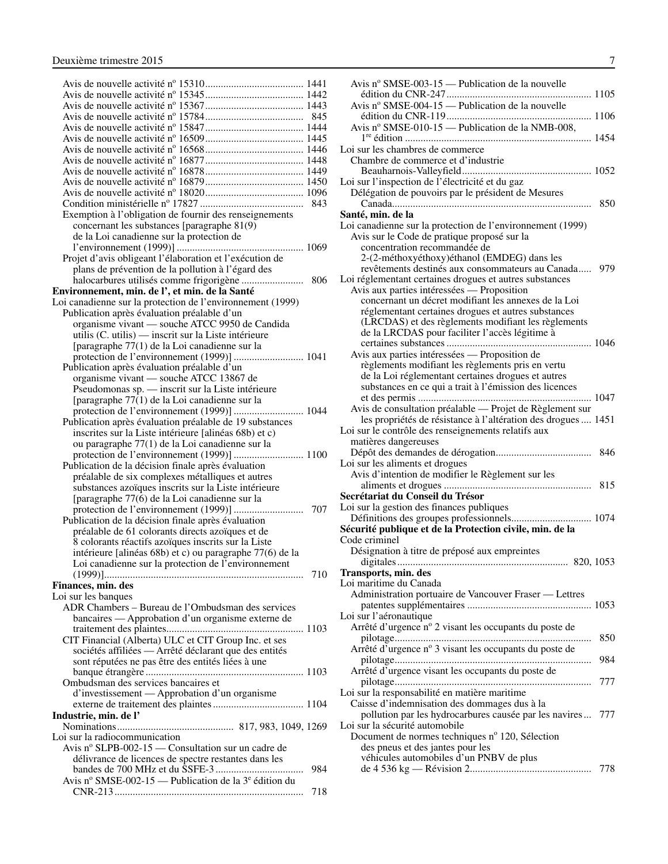| Exemption à l'obligation de fournir des renseignements                                       |     |
|----------------------------------------------------------------------------------------------|-----|
| concernant les substances [paragraphe 81(9)                                                  |     |
| de la Loi canadienne sur la protection de                                                    |     |
|                                                                                              |     |
| Projet d'avis obligeant l'élaboration et l'exécution de                                      |     |
|                                                                                              |     |
| plans de prévention de la pollution à l'égard des                                            |     |
|                                                                                              | 806 |
| Environnement, min. de l', et min. de la Santé                                               |     |
| Loi canadienne sur la protection de l'environnement (1999)                                   |     |
| Publication après évaluation préalable d'un                                                  |     |
| organisme vivant — souche ATCC 9950 de Candida                                               |     |
| utilis (C. utilis) — inscrit sur la Liste intérieure                                         |     |
| [paragraphe 77(1) de la Loi canadienne sur la                                                |     |
| protection de l'environnement (1999)]  1041                                                  |     |
| Publication après évaluation préalable d'un                                                  |     |
| organisme vivant — souche ATCC 13867 de<br>Pseudomonas sp. — inscrit sur la Liste intérieure |     |
|                                                                                              |     |
| [paragraphe 77(1) de la Loi canadienne sur la                                                |     |
| protection de l'environnement (1999)]  1044                                                  |     |
| Publication après évaluation préalable de 19 substances                                      |     |
|                                                                                              |     |
|                                                                                              |     |
| inscrites sur la Liste intérieure [alinéas 68b) et c)                                        |     |
| ou paragraphe 77(1) de la Loi canadienne sur la                                              |     |
|                                                                                              |     |
| Publication de la décision finale après évaluation                                           |     |
| préalable de six complexes métalliques et autres                                             |     |
| substances azoïques inscrits sur la Liste intérieure                                         |     |
| [paragraphe 77(6) de la Loi canadienne sur la                                                |     |
|                                                                                              |     |
| Publication de la décision finale après évaluation                                           |     |
| préalable de 61 colorants directs azoïques et de                                             |     |
| 8 colorants réactifs azoïques inscrits sur la Liste                                          |     |
| intérieure [alinéas 68b) et c) ou paragraphe 77(6) de la                                     |     |
| Loi canadienne sur la protection de l'environnement                                          |     |
|                                                                                              |     |
| Finances, min. des                                                                           |     |
| Loi sur les banques                                                                          |     |
| ADR Chambers - Bureau de l'Ombudsman des services                                            |     |
| bancaires - Approbation d'un organisme externe de                                            |     |
|                                                                                              |     |
| CIT Financial (Alberta) ULC et CIT Group Inc. et ses                                         |     |
| sociétés affiliées - Arrêté déclarant que des entités                                        |     |
| sont réputées ne pas être des entités liées à une                                            |     |
|                                                                                              |     |
| Ombudsman des services bancaires et                                                          |     |
| d'investissement — Approbation d'un organisme                                                |     |
|                                                                                              |     |
| Industrie, min. de l'                                                                        |     |
|                                                                                              |     |
| Loi sur la radiocommunication                                                                |     |
| Avis nº SLPB-002-15 — Consultation sur un cadre de                                           |     |
| délivrance de licences de spectre restantes dans les                                         |     |
|                                                                                              | 984 |
| Avis nº SMSE-002-15 — Publication de la $3^e$ édition du                                     | 718 |

| Avis nº SMSE-003-15 — Publication de la nouvelle                                                          |
|-----------------------------------------------------------------------------------------------------------|
|                                                                                                           |
| Avis nº SMSE-004-15 — Publication de la nouvelle                                                          |
| Avis nº SMSE-010-15 — Publication de la NMB-008,                                                          |
| Loi sur les chambres de commerce                                                                          |
| Chambre de commerce et d'industrie                                                                        |
| Loi sur l'inspection de l'électricité et du gaz                                                           |
| Délégation de pouvoirs par le président de Mesures                                                        |
| 850                                                                                                       |
| Santé, min. de la                                                                                         |
| Loi canadienne sur la protection de l'environnement (1999)<br>Avis sur le Code de pratique proposé sur la |
| concentration recommandée de                                                                              |
| 2-(2-méthoxyéthoxy)éthanol (EMDEG) dans les                                                               |
| revêtements destinés aux consommateurs au Canada<br>979                                                   |
| Loi réglementant certaines drogues et autres substances<br>Avis aux parties intéressées — Proposition     |
| concernant un décret modifiant les annexes de la Loi                                                      |
| réglementant certaines drogues et autres substances                                                       |
| (LRCDAS) et des règlements modifiant les règlements                                                       |
| de la LRCDAS pour faciliter l'accès légitime à                                                            |
| Avis aux parties intéressées — Proposition de                                                             |
| règlements modifiant les règlements pris en vertu                                                         |
| de la Loi réglementant certaines drogues et autres                                                        |
| substances en ce qui a trait à l'émission des licences                                                    |
|                                                                                                           |
| Avis de consultation préalable — Projet de Règlement sur                                                  |
| les propriétés de résistance à l'altération des drogues  1451                                             |
| Loi sur le contrôle des renseignements relatifs aux<br>matières dangereuses                               |
|                                                                                                           |
| Loi sur les aliments et drogues                                                                           |
| Avis d'intention de modifier le Règlement sur les                                                         |
|                                                                                                           |
| Secrétariat du Conseil du Trésor                                                                          |
| Loi sur la gestion des finances publiques                                                                 |
| Sécurité publique et de la Protection civile, min. de la                                                  |
| Code criminel                                                                                             |
| Désignation à titre de préposé aux empreintes                                                             |
|                                                                                                           |
|                                                                                                           |
| Transports, min. des                                                                                      |
| Loi maritime du Canada                                                                                    |
| Administration portuaire de Vancouver Fraser - Lettres                                                    |
| Loi sur l'aéronautique                                                                                    |
| Arrêté d'urgence nº 2 visant les occupants du poste de                                                    |
| 850                                                                                                       |
| Arrêté d'urgence nº 3 visant les occupants du poste de                                                    |
| 984                                                                                                       |
| Arrêté d'urgence visant les occupants du poste de<br>777                                                  |
| Loi sur la responsabilité en matière maritime                                                             |
| Caisse d'indemnisation des dommages dus à la                                                              |
| pollution par les hydrocarbures causée par les navires<br>777                                             |
| Loi sur la sécurité automobile                                                                            |
| Document de normes techniques nº 120, Sélection                                                           |
| des pneus et des jantes pour les<br>véhicules automobiles d'un PNBV de plus                               |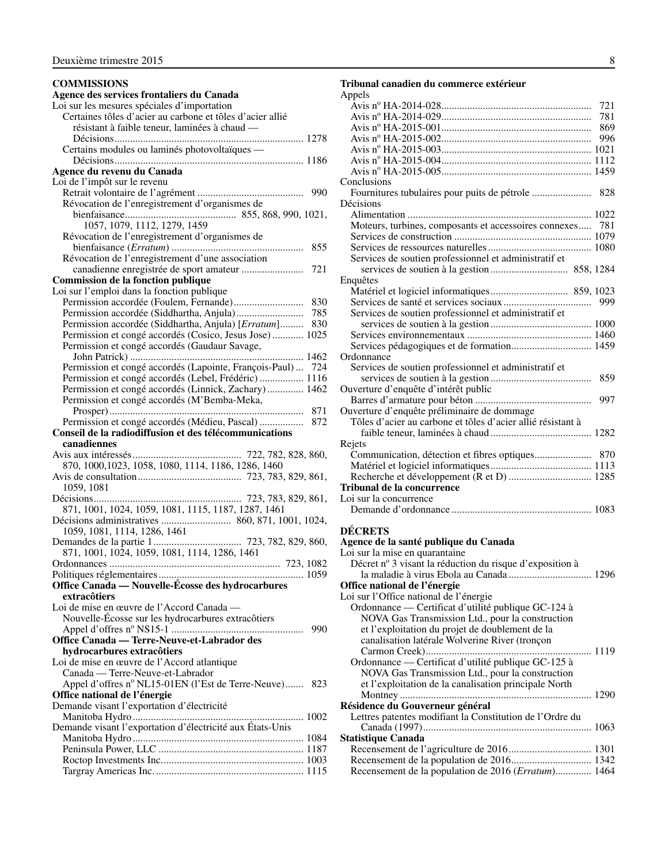#### <span id="page-9-0"></span>**COMMISSIONS Agence des services frontaliers du Canada** Loi sur les mesures spéciales d'importation Certaines tôles d'acier au carbone et tôles d'acier allié résistant à faible teneur, laminées à chaud — Décisions......................................................................... 1278 Certains modules ou laminés photovoltaïques — Décisions......................................................................... 1186 **Agence du revenu du Canada** Loi de l'impôt sur le revenu Retrait volontaire de l'agrément ......................................... 990 Révocation de l'enregistrement d'organismes de bienfaisance........................................... 855, 868, 990, 1021, 1057, 1079, 1112, 1279, 1459 Révocation de l'enregistrement d'organismes de bienfaisance (*Erratum*) ................................................... 855 Révocation de l'enregistrement d'une association canadienne enregistrée de sport amateur ........................ 721 **Commission de la fonction publique** Loi sur l'emploi dans la fonction publique Permission accordée (Foulem, Fernande)........................... 830 Permission accordée (Siddhartha, Anjula).......................... 785 Permission accordée (Siddhartha, Anjula) [*Erratum*]......... 830 Permission et congé accordés (Cosico, Jesus Jose) ............ 1025 Permission et congé accordés (Gaudaur Savage, John Patrick) ................................................................... 1462 Permission et congé accordés (Lapointe, François-Paul) ... 724 Permission et congé accordés (Lebel, Frédéric) ................. 1116 Permission et congé accordés (Linnick, Zachary).............. 1462 Permission et congé accordés (M'Bemba-Meka, Prosper)........................................................................... 871 Permission et congé accordés (Médieu, Pascal) ................. 872 **Conseil de la radiodiffusion et des télécommunications canadiennes** Avis aux intéressés.......................................... 722, 782, 828, 860, 870, 1000,1023, 1058, 1080, 1114, 1186, 1286, 1460 Avis de consultation........................................ 723, 783, 829, 861, 1059, 1081 Décisions......................................................... 723, 783, 829, 861, 871, 1001, 1024, 1059, 1081, 1115, 1187, 1287, 1461 Décisions administratives ........................... 860, 871, 1001, 1024, 1059, 1081, 1114, 1286, 1461 Demandes de la partie 1.................................. 723, 782, 829, 860, 871, 1001, 1024, 1059, 1081, 1114, 1286, 1461 Ordonnances .................................................................. 723, 1082 Politiques réglementaires........................................................ 1059 **Office Canada — Nouvelle-Écosse des hydrocarbures extracôtiers** Loi de mise en œuvre de l'Accord Canada — Nouvelle-Écosse sur les hydrocarbures extracôtiers Appel d'offres no NS15-1 ................................................... 990 **Office Canada — Terre-Neuve-et-Labrador des hydrocarbures extracôtiers** Loi de mise en œuvre de l'Accord atlantique Canada — Terre-Neuve-et-Labrador Appel d'offres nº NL15-01EN (l'Est de Terre-Neuve)....... 823 **Office national de l'énergie** Demande visant l'exportation d'électricité Manitoba Hydro.................................................................. 1002 Demande visant l'exportation d'électricité aux États-Unis Manitoba Hydro.................................................................. 1084 Peninsula Power, LLC ........................................................ 1187 Roctop Investments Inc....................................................... 1003 Targray Americas Inc. ......................................................... 1115

#### **Tribunal canadien du commerce extérieur** Appels Avis no HA-2014-028.......................................................... 721 Avis no HA-2014-029.......................................................... 781 Avis no HA-2015-001.......................................................... 869 Avis no HA-2015-002.......................................................... 996 Avis no HA-2015-003.......................................................... 1021 Avis no HA-2015-004.......................................................... 1112 Avis no HA-2015-005.......................................................... 1459 Conclusions Fournitures tubulaires pour puits de pétrole ....................... 828 Décisions Alimentation ....................................................................... 1022 Moteurs, turbines, composants et accessoires connexes..... 781 Services de construction ..................................................... 1079 Services de ressources naturelles........................................ 1080 Services de soutien professionnel et administratif et services de soutien à la gestion .............................. 858, 1284 Enquêtes Matériel et logiciel informatiques.............................. 859, 1023 Services de santé et services sociaux.................................. 999 Services de soutien professionnel et administratif et services de soutien à la gestion ....................................... 1000 Services environnementaux ................................................ 1460 Services pédagogiques et de formation............................... 1459 **Ordonnance** Services de soutien professionnel et administratif et services de soutien à la gestion ....................................... 859 Ouverture d'enquête d'intérêt public Barres d'armature pour béton ............................................. 997 Ouverture d'enquête préliminaire de dommage Tôles d'acier au carbone et tôles d'acier allié résistant à faible teneur, laminées à chaud ....................................... 1282 Rejets Communication, détection et fibres optiques...................... 870 Matériel et logiciel informatiques....................................... 1113 Recherche et développement (R et D) ................................ 1285 **Tribunal de la concurrence** Loi sur la concurrence Demande d'ordonnance ...................................................... 1083

#### **DÉCRETS**

| Agence de la santé publique du Canada                    |  |
|----------------------------------------------------------|--|
| Loi sur la mise en quarantaine                           |  |
| Décret nº 3 visant la réduction du risque d'exposition à |  |
|                                                          |  |
| Office national de l'énergie                             |  |
| Loi sur l'Office national de l'énergie                   |  |
| Ordonnance — Certificat d'utilité publique GC-124 à      |  |
| NOVA Gas Transmission Ltd., pour la construction         |  |
| et l'exploitation du projet de doublement de la          |  |
| canalisation latérale Wolverine River (tronçon           |  |
|                                                          |  |
| Ordonnance — Certificat d'utilité publique GC-125 à      |  |
| NOVA Gas Transmission Ltd., pour la construction         |  |
| et l'exploitation de la canalisation principale North    |  |
|                                                          |  |
| Résidence du Gouverneur général                          |  |
| Lettres patentes modifiant la Constitution de l'Ordre du |  |
|                                                          |  |
| Statistique Canada                                       |  |
|                                                          |  |
|                                                          |  |
| Recensement de la population de 2016 (Erratum) 1464      |  |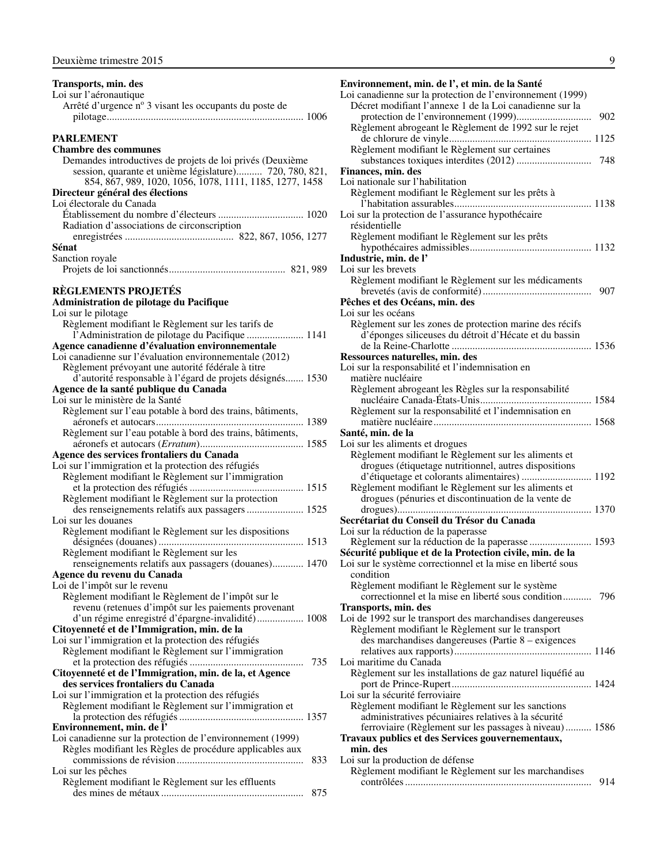<span id="page-10-0"></span>

| Transports, min. des                                                               |
|------------------------------------------------------------------------------------|
| Loi sur l'aéronautique                                                             |
| Arrêté d'urgence nº 3 visant les occupants du poste de                             |
|                                                                                    |
| <b>PARLEMENT</b>                                                                   |
| <b>Chambre des communes</b>                                                        |
| Demandes introductives de projets de loi privés (Deuxième                          |
| session, quarante et unième législature) 720, 780, 821,                            |
| 854, 867, 989, 1020, 1056, 1078, 1111, 1185, 1277, 1458                            |
| Directeur général des élections                                                    |
| Loi électorale du Canada                                                           |
|                                                                                    |
| Radiation d'associations de circonscription                                        |
|                                                                                    |
| Sénat                                                                              |
| Sanction royale                                                                    |
|                                                                                    |
| <b>RÈGLEMENTS PROJETÉS</b>                                                         |
| Administration de pilotage du Pacifique                                            |
| Loi sur le pilotage                                                                |
| Règlement modifiant le Règlement sur les tarifs de                                 |
| l'Administration de pilotage du Pacifique  1141                                    |
| Agence canadienne d'évaluation environnementale                                    |
| Loi canadienne sur l'évaluation environnementale (2012)                            |
| Règlement prévoyant une autorité fédérale à titre                                  |
| d'autorité responsable à l'égard de projets désignés 1530                          |
| Agence de la santé publique du Canada                                              |
| Loi sur le ministère de la Santé                                                   |
| Règlement sur l'eau potable à bord des trains, bâtiments,                          |
| Règlement sur l'eau potable à bord des trains, bâtiments,                          |
|                                                                                    |
| Agence des services frontaliers du Canada                                          |
| Loi sur l'immigration et la protection des réfugiés                                |
| Règlement modifiant le Règlement sur l'immigration                                 |
|                                                                                    |
| Règlement modifiant le Règlement sur la protection                                 |
| des renseignements relatifs aux passagers  1525                                    |
| Loi sur les douanes                                                                |
| Règlement modifiant le Règlement sur les dispositions                              |
|                                                                                    |
| Règlement modifiant le Règlement sur les                                           |
| renseignements relatifs aux passagers (douanes) 1470<br>Agence du revenu du Canada |
| Loi de l'impôt sur le revenu                                                       |
| Règlement modifiant le Règlement de l'impôt sur le                                 |
| revenu (retenues d'impôt sur les paiements provenant                               |
| d'un régime enregistré d'épargne-invalidité) 1008                                  |
| Citoyenneté et de l'Immigration, min. de la                                        |
| Loi sur l'immigration et la protection des réfugiés                                |
| Règlement modifiant le Règlement sur l'immigration                                 |
| 735                                                                                |
| Citoyenneté et de l'Immigration, min. de la, et Agence                             |
| des services frontaliers du Canada                                                 |
| Loi sur l'immigration et la protection des réfugiés                                |
| Règlement modifiant le Règlement sur l'immigration et                              |
| Environnement, min. de l'                                                          |
| Loi canadienne sur la protection de l'environnement (1999)                         |
| Règles modifiant les Règles de procédure applicables aux                           |
| 833                                                                                |
| Loi sur les pêches                                                                 |
| Règlement modifiant le Règlement sur les effluents                                 |
| 875                                                                                |

| ٦ | ٧      |          |    |  |
|---|--------|----------|----|--|
|   |        |          |    |  |
|   |        |          |    |  |
|   |        |          |    |  |
|   |        | ۰.<br>۰. | ۰. |  |
|   | I<br>v |          |    |  |

**Environnement, min. de l', et min. de la Santé**  Loi canadienne sur la protection de l'environnement (1999) Décret modifiant l'annexe 1 de la Loi canadienne sur la protection de l'environnement (1999)............................. 902 Règlement abrogeant le Règlement de 1992 sur le rejet de chlorure de vinyle....................................................... 1125 Règlement modifiant le Règlement sur certaines substances toxiques interdites (2012) ............................. 748 **Finances, min. des** Loi nationale sur l'habilitation Règlement modifiant le Règlement sur les prêts à l'habitation assurables..................................................... 1138 Loi sur la protection de l'assurance hypothécaire résidentielle Règlement modifiant le Règlement sur les prêts hypothécaires admissibles............................................... 1132 **Industrie, min. de l'** Loi sur les brevets Règlement modifiant le Règlement sur les médicaments brevetés (avis de conformité).......................................... 907 **Pêches et des Océans, min. des**  Loi sur les océans Règlement sur les zones de protection marine des récifs d'éponges siliceuses du détroit d'Hécate et du bassin de la Reine-Charlotte ...................................................... 1536 **Ressources naturelles, min. des**  Loi sur la responsabilité et l'indemnisation en matière nucléaire Règlement abrogeant les Règles sur la responsabilité nucléaire Canada-États-Unis........................................... 1584 Règlement sur la responsabilité et l'indemnisation en matière nucléaire............................................................. 1568 **Santé, min. de la**  Loi sur les aliments et drogues Règlement modifiant le Règlement sur les aliments et drogues (étiquetage nutritionnel, autres dispositions d'étiquetage et colorants alimentaires) ........................... 1192 Règlement modifiant le Règlement sur les aliments et drogues (pénuries et discontinuation de la vente de drogues)........................................................................... 1370 **Secrétariat du Conseil du Trésor du Canada** Loi sur la réduction de la paperasse Règlement sur la réduction de la paperasse ........................ 1593 **Sécurité publique et de la Protection civile, min. de la** Loi sur le système correctionnel et la mise en liberté sous condition Règlement modifiant le Règlement sur le système correctionnel et la mise en liberté sous condition........... 796 **Transports, min. des** Loi de 1992 sur le transport des marchandises dangereuses Règlement modifiant le Règlement sur le transport des marchandises dangereuses (Partie 8 – exigences relatives aux rapports)..................................................... 1146 Loi maritime du Canada Règlement sur les installations de gaz naturel liquéfié au port de Prince-Rupert...................................................... 1424 Loi sur la sécurité ferroviaire Règlement modifiant le Règlement sur les sanctions administratives pécuniaires relatives à la sécurité ferroviaire (Règlement sur les passages à niveau).......... 1586 **Travaux publics et des Services gouvernementaux, min. des** Loi sur la production de défense Règlement modifiant le Règlement sur les marchandises contrôlées........................................................................ 914